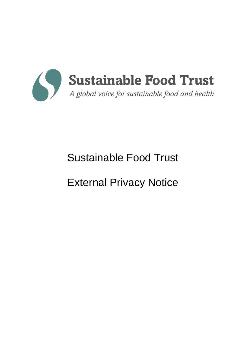

# Sustainable Food Trust

# External Privacy Notice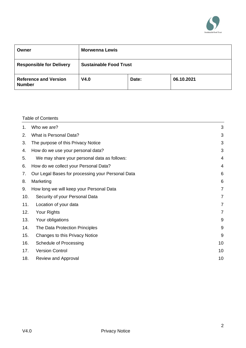

| Owner                                         | <b>Morwenna Lewis</b>         |       |            |
|-----------------------------------------------|-------------------------------|-------|------------|
| <b>Responsible for Delivery</b>               | <b>Sustainable Food Trust</b> |       |            |
| <b>Reference and Version</b><br><b>Number</b> | V4.0                          | Date: | 06.10.2021 |

# Table of Contents

| 1.  | Who we are?                                       | 3              |
|-----|---------------------------------------------------|----------------|
| 2.  | <b>What is Personal Data?</b>                     | 3              |
| 3.  | The purpose of this Privacy Notice                | 3              |
| 4.  | How do we use your personal data?                 | 3              |
| 5.  | We may share your personal data as follows:       | 4              |
| 6.  | How do we collect your Personal Data?             | $\overline{4}$ |
| 7.  | Our Legal Bases for processing your Personal Data | 6              |
| 8.  | Marketing                                         | 6              |
| 9.  | How long we will keep your Personal Data          | $\overline{7}$ |
| 10. | Security of your Personal Data                    | 7              |
| 11. | Location of your data                             | $\overline{7}$ |
| 12. | Your Rights                                       | $\overline{7}$ |
| 13. | Your obligations                                  | 9              |
| 14. | The Data Protection Principles                    | 9              |
| 15. | Changes to this Privacy Notice                    | 9              |
| 16. | Schedule of Processing                            | 10             |
| 17. | <b>Version Control</b>                            | 10             |
| 18. | Review and Approval                               | 10             |
|     |                                                   |                |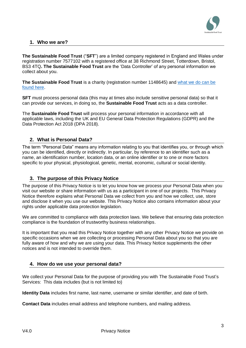

# <span id="page-2-0"></span>**1. Who we are?**

**The Sustainable Food Trust** ("**SFT**") are a limited company registered in England and Wales under registration number 7577102 with a registered office at 38 Richmond Street, Totterdown, Bristol, BS3 4TQ**. The Sustainable Food Trust** are the 'Data Controller' of any personal information we collect about you.

**The Sustainable Food Trust** is a charity (registration number 1148645) an[d what we do can be](https://sustainablefoodtrust.org/about-us/what-we-do/)  [found here.](https://sustainablefoodtrust.org/about-us/what-we-do/)

**SFT** must process personal data (this may at times also include sensitive personal data) so that it can provide our services, in doing so, the **Sustainable Food Trust** acts as a data controller.

The **Sustainable Food Trust** will process your personal information in accordance with all applicable laws, including the UK and EU General Data Protection Regulations (GDPR) and the Data Protection Act 2018 (DPA 2018).

# <span id="page-2-1"></span>**2. What is Personal Data?**

The term "Personal Data" means any information relating to you that identifies you, or through which you can be identified, directly or indirectly. In particular, by reference to an identifier such as a name, an identification number, location data, or an online identifier or to one or more factors specific to your physical, physiological, genetic, mental, economic, cultural or social identity.

# <span id="page-2-2"></span>**3. The purpose of this Privacy Notice**

The purpose of this Privacy Notice is to let you know how we process your Personal Data when you visit our website or share information with us as a participant in one of our projects. This Privacy Notice therefore explains what Personal Data we collect from you and how we collect, use, store and disclose it when you use our website. This Privacy Notice also contains information about your rights under applicable data protection legislation.

We are committed to compliance with data protection laws. We believe that ensuring data protection compliance is the foundation of trustworthy business relationships.

It is important that you read this Privacy Notice together with any other Privacy Notice we provide on specific occasions when we are collecting or processing Personal Data about you so that you are fully aware of how and why we are using your data. This Privacy Notice supplements the other notices and is not intended to override them.

# <span id="page-2-3"></span>**4. How do we use your personal data?**

We collect your Personal Data for the purpose of providing you with The Sustainable Food Trust's Services: This data includes (but is not limited to)

**Identity Data** includes first name, last name, username or similar identifier, and date of birth.

**Contact Data** includes email address and telephone numbers, and mailing address.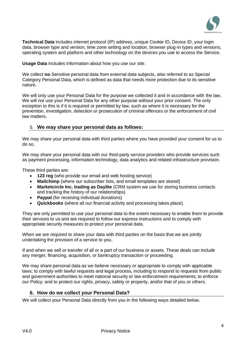

**Technical Data** includes internet protocol (IP) address, unique Cookie ID, Device ID, your login data, browser type and version, time zone setting and location, browser plug-in types and versions, operating system and platform and other technology on the devices you use to access the Service.

**Usage Data** includes information about how you use our site.

We collect **no** Sensitive personal data from external data subjects, also referred to as Special Category Personal Data, which is defined as data that needs more protection due to its sensitive nature.

We will only use your Personal Data for the purpose we collected it and in accordance with the law. We will not use your Personal Data for any other purpose without your prior consent. The only exception to this is if it is required or permitted by law, such as where it is necessary for the prevention, investigation, detection or prosecution of criminal offences or the enforcement of civil law matters.

### <span id="page-3-0"></span>5. **We may share your personal data as follows:**

We may share your personal data with third parties where you have provided your consent for us to do so.

We may share your personal data with our third-party service providers who provide services such as payment processing, information technology, data analytics and related infrastructure provision.

These third parties are:

- **123 reg** (who provide our email and web hosting service)
- **Mailchimp** (where our subscriber lists, and email templates are stored)
- **Marketcircle Inc. trading as Daylite** (CRM system we use for storing business contacts and tracking the history of our relationships)
- **Paypal** (for receiving individual donations)
- **Quickbooks** (where all our financial activity and processing takes place).

They are only permitted to use your personal data to the extent necessary to enable them to provide their services to us and are required to follow our express instructions and to comply with appropriate security measures to protect your personal data.

When we are required to share your data with third parties on the basis that we are jointly undertaking the provision of a service to you.

If and when we sell or transfer of all or a part of our business or assets. These deals can include any merger, financing, acquisition, or bankruptcy transaction or proceeding.

We may share personal data as we believe necessary or appropriate to comply with applicable laws; to comply with lawful requests and legal process, including to respond to requests from public and government authorities to meet national security or law enforcement requirements; to enforce our Policy; and to protect our rights, privacy, safety or property, and/or that of you or others.

#### **6. How do we collect your Personal Data?**

<span id="page-3-1"></span>We will collect your Personal Data directly from you in the following ways detailed below.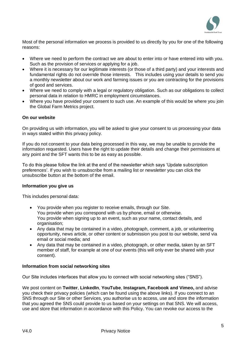

Most of the personal information we process is provided to us directly by you for one of the following reasons:

- Where we need to perform the contract we are about to enter into or have entered into with you. Such as the provision of services or applying for a job.
- Where it is necessary for our legitimate interests (or those of a third party) and your interests and fundamental rights do not override those interests. This includes using your details to send you a monthly newsletter about our work and farming issues or you are contracting for the provisions of good and services.
- Where we need to comply with a legal or regulatory obligation. Such as our obligations to collect personal data in relation to HMRC in employment circumstances.
- Where you have provided your consent to such use. An example of this would be where you join the Global Farm Metrics project.

#### **On our website**

On providing us with information, you will be asked to give your consent to us processing your data in ways stated within this privacy policy.

If you do not consent to your data being processed in this way, we may be unable to provide the information requested. Users have the right to update their details and change their permissions at any point and the SFT wants this to be as easy as possible.

To do this please follow the link at the end of the newsletter which says 'Update subscription preferences'. If you wish to unsubscribe from a mailing list or newsletter you can click the unsubscribe button at the bottom of the email.

#### **Information you give us**

This includes personal data:

- You provide when you register to receive emails, through our Site. You provide when you correspond with us by phone, email or otherwise. You provide when signing up to an event, such as your name, contact details, and organisation;
- Any data that may be contained in a video, photograph, comment, a job, or volunteering opportunity, news article, or other content or submission you post to our website, send via email or social media; and
- Any data that may be contained in a video, photograph, or other media, taken by an SFT member of staff, for example at one of our events (this will only ever be shared with your consent).

#### **Information from social networking sites**

Our Site includes interfaces that allow you to connect with social networking sites ("SNS").

We post content on **Twitter**, **LinkedIn**, **YouTube**, **Instagram, Facebook and Vimeo,** and advise you check their privacy policies (which can be found using the above links). If you connect to an SNS through our Site or other Services, you authorise us to access, use and store the information that you agreed the SNS could provide to us based on your settings on that SNS. We will access, use and store that information in accordance with this Policy. You can revoke our access to the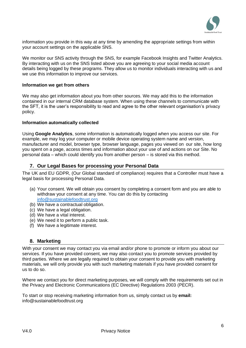

information you provide in this way at any time by amending the appropriate settings from within your account settings on the applicable SNS.

We monitor our SNS activity through the SNS, for example Facebook Insights and Twitter Analytics. By interacting with us on the SNS listed above you are agreeing to your social media account details being logged by these programs. They allow us to monitor individuals interacting with us and we use this information to improve our services.

#### **Information we get from others**

We may also get information about you from other sources. We may add this to the information contained in our internal CRM database system. When using these channels to communicate with the SFT, it is the user's responsibility to read and agree to the other relevant organisation's privacy policy.

#### **Information automatically collected**

Using **Google Analytics**, some information is automatically logged when you access our site. For example, we may log your computer or mobile device operating system name and version, manufacturer and model, browser type, browser language, pages you viewed on our site, how long you spent on a page, access times and information about your use of and actions on our Site. No personal data – which could identify you from another person – is stored via this method.

### **7. Our Legal Bases for processing your Personal Data**

<span id="page-5-0"></span>The UK and EU GDPR, (Our Global standard of compliance) requires that a Controller must have a legal basis for processing Personal Data.

- (a) Your consent. We will obtain you consent by completing a consent form and you are able to withdraw your consent at any time. You can do this by contacting [info@sustainablefoodtrust.org](mailto:info@sustainablefoodtrust.org)
- (b) We have a contractual obligation.
- (c) We have a legal obligation.
- (d) We have a vital interest.
- (e) We need it to perform a public task.
- (f) We have a legitimate interest.

#### <span id="page-5-1"></span>**8. Marketing**

With your consent we may contact you via email and/or phone to promote or inform you about our services. If you have provided consent, we may also contact you to promote services provided by third parties. Where we are legally required to obtain your consent to provide you with marketing materials, we will only provide you with such marketing materials if you have provided consent for us to do so.

Where we contact you for direct marketing purposes, we will comply with the requirements set out in the Privacy and Electronic Communications (EC Directive) Regulations 2003 (PECR).

To start or stop receiving marketing information from us, simply contact us by **email:**  info@sustainablefoodtrust.org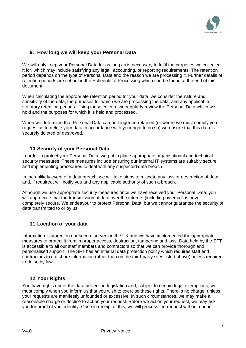

# <span id="page-6-0"></span>**9. How long we will keep your Personal Data**

We will only keep your Personal Data for as long as is necessary to fulfil the purposes we collected it for, which may include satisfying any legal, accounting, or reporting requirements. The retention period depends on the type of Personal Data and the reason we are processing it. Further details of retention periods are set out in the Schedule of Processing which can be found at the end of this document.

When calculating the appropriate retention period for your data, we consider the nature and sensitivity of the data, the purposes for which we are processing the data, and any applicable statutory retention periods. Using these criteria, we regularly review the Personal Data which we hold and the purposes for which it is held and processed.

When we determine that Personal Data can no longer be retained (or where we must comply you request us to delete your data in accordance with your right to do so) we ensure that this data is securely deleted or destroyed.

# <span id="page-6-1"></span>**10.Security of your Personal Data**

In order to protect your Personal Data, we put in place appropriate organisational and technical security measures. These measures include ensuring our internal IT systems are suitably secure and implementing procedures to deal with any suspected data breach.

In the unlikely event of a data breach, we will take steps to mitigate any loss or destruction of data and, if required, will notify you and any applicable authority of such a breach.

Although we use appropriate security measures once we have received your Personal Data, you will appreciate that the transmission of data over the internet (including by email) is never completely secure. We endeavour to protect Personal Data, but we cannot guarantee the security of data transmitted to or by us.

# <span id="page-6-2"></span>**11.Location of your data**

Information is stored on our secure servers in the UK and we have implemented the appropriate measures to protect it from improper access, destruction, tampering and loss. Data held by the SFT is accessible to all our staff members and contractors so that we can provide thorough and personalised support. The SFT has an internal data protection policy which requires staff and contractors to not share information (other than on the third-party sites listed above) unless required to do so by law.

# **12.Your Rights**

<span id="page-6-3"></span>You have rights under the data protection legislation and, subject to certain legal exemptions, we must comply when you inform us that you wish to exercise these rights. There is no charge, unless your requests are manifestly unfounded or excessive. In such circumstances, we may make a reasonable charge or decline to act on your request. Before we action your request, we may ask you for proof of your identity. Once in receipt of this, we will process the request without undue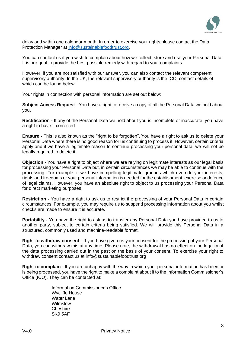

delay and within one calendar month. In order to exercise your rights please contact the Data Protection Manager at [info@sustainablefoodtrust.org.](mailto:info@sustainablefoodtrust.org)

You can contact us if you wish to complain about how we collect, store and use your Personal Data. It is our goal to provide the best possible remedy with regard to your complaints.

However, if you are not satisfied with our answer, you can also contact the relevant competent supervisory authority. In the UK, the relevant supervisory authority is the ICO, contact details of which can be found below.

Your rights in connection with personal information are set out below:

**Subject Access Request -** You have a right to receive a copy of all the Personal Data we hold about you.

**Rectification -** If any of the Personal Data we hold about you is incomplete or inaccurate, you have a right to have it corrected.

**Erasure -** This is also known as the "right to be forgotten". You have a right to ask us to delete your Personal Data where there is no good reason for us continuing to process it. However, certain criteria apply and if we have a legitimate reason to continue processing your personal data, we will not be legally required to delete it.

**Objection -** You have a right to object where we are relying on legitimate interests as our legal basis for processing your Personal Data but, in certain circumstances we may be able to continue with the processing. For example, if we have compelling legitimate grounds which override your interests, rights and freedoms or your personal information is needed for the establishment, exercise or defence of legal claims. However, you have an absolute right to object to us processing your Personal Data for direct marketing purposes.

**Restriction -** You have a right to ask us to restrict the processing of your Personal Data in certain circumstances. For example, you may require us to suspend processing information about you whilst checks are made to ensure it is accurate.

**Portability -** You have the right to ask us to transfer any Personal Data you have provided to us to another party, subject to certain criteria being satisfied. We will provide this Personal Data in a structured, commonly used and machine-readable format.

**Right to withdraw consent -** If you have given us your consent for the processing of your Personal Data, you can withdraw this at any time. Please note, the withdrawal has no effect on the legality of the data processing carried out in the past on the basis of your consent. To exercise your right to withdraw consent contact us at info@sustainablefoodtrust.org

**Right to complain -** If you are unhappy with the way in which your personal information has been or is being processed, you have the right to make a complaint about it to the Information Commissioner's Office (ICO). They can be contacted at:

> Information Commissioner's Office Wycliffe House Water Lane Wilmslow **Cheshire** SK9 5AF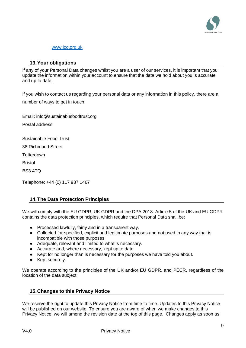

#### [www.ico.org.uk](http://www.ico.org.uk/)

#### <span id="page-8-0"></span>**13.Your obligations**

If any of your Personal Data changes whilst you are a user of our services, it is important that you update the information within your account to ensure that the data we hold about you is accurate and up to date.

If you wish to contact us regarding your personal data or any information in this policy, there are a number of ways to get in touch

Email: [info@sustainablefoodtrust.org](mailto:info@sustainablefoodtrust.org) Postal address:

Sustainable Food Trust

38 Richmond Street

**Totterdown** 

Bristol

BS3 4TQ

Telephone: +44 (0) 117 987 1467

#### <span id="page-8-1"></span>**14.The Data Protection Principles**

We will comply with the EU GDPR, UK GDPR and the DPA 2018. Article 5 of the UK and EU GDPR contains the data protection principles, which require that Personal Data shall be:

- Processed lawfully, fairly and in a transparent way.
- Collected for specified, explicit and legitimate purposes and not used in any way that is incompatible with those purposes.
- Adequate, relevant and limited to what is necessary.
- Accurate and, where necessary, kept up to date.
- Kept for no longer than is necessary for the purposes we have told you about.
- Kept securely.

We operate according to the principles of the UK and/or EU GDPR, and PECR, regardless of the location of the data subject.

#### <span id="page-8-2"></span>**15.Changes to this Privacy Notice**

We reserve the right to update this Privacy Notice from time to time. Updates to this Privacy Notice will be published on our website. To ensure you are aware of when we make changes to this Privacy Notice, we will amend the revision date at the top of this page. Changes apply as soon as